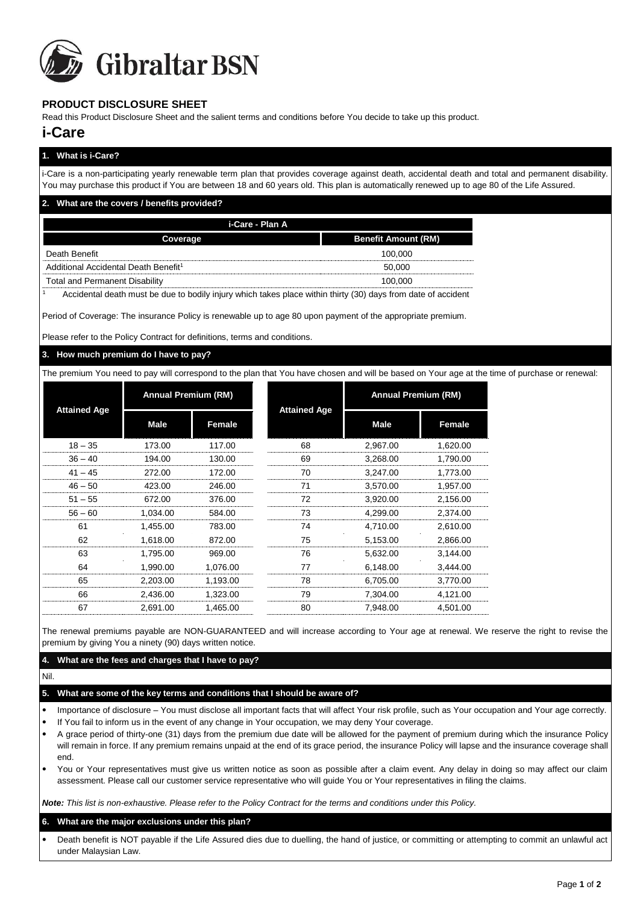

# **PRODUCT DISCLOSURE SHEET**

Read this Product Disclosure Sheet and the salient terms and conditions before You decide to take up this product.

# **i-Care**

| 1. What is i-Care?                                                                                                                                                                                                                                                                                |                            |  |  |  |  |  |
|---------------------------------------------------------------------------------------------------------------------------------------------------------------------------------------------------------------------------------------------------------------------------------------------------|----------------------------|--|--|--|--|--|
| i-Care is a non-participating yearly renewable term plan that provides coverage against death, accidental death and total and permanent disability.<br>You may purchase this product if You are between 18 and 60 years old. This plan is automatically renewed up to age 80 of the Life Assured. |                            |  |  |  |  |  |
| 2. What are the covers / benefits provided?                                                                                                                                                                                                                                                       |                            |  |  |  |  |  |
| i-Care - Plan A                                                                                                                                                                                                                                                                                   |                            |  |  |  |  |  |
| Coverage                                                                                                                                                                                                                                                                                          | <b>Benefit Amount (RM)</b> |  |  |  |  |  |
| Death Benefit                                                                                                                                                                                                                                                                                     | 100.000                    |  |  |  |  |  |
| Additional Accidental Death Benefit <sup>1</sup>                                                                                                                                                                                                                                                  | 50.000                     |  |  |  |  |  |
| <b>Total and Permanent Disability</b>                                                                                                                                                                                                                                                             | 100.000                    |  |  |  |  |  |
|                                                                                                                                                                                                                                                                                                   |                            |  |  |  |  |  |

Accidental death must be due to bodily injury which takes place within thirty (30) days from date of accident

Period of Coverage: The insurance Policy is renewable up to age 80 upon payment of the appropriate premium.

Please refer to the Policy Contract for definitions, terms and conditions.

#### **3. How much premium do I have to pay?**

The premium You need to pay will correspond to the plan that You have chosen and will be based on Your age at the time of purchase or renewal:

| <b>Attained Age</b> | <b>Annual Premium (RM)</b> |          | <b>Attained Age</b> | <b>Annual Premium (RM)</b> |               |
|---------------------|----------------------------|----------|---------------------|----------------------------|---------------|
|                     | Male                       | Female   |                     | Male                       | <b>Female</b> |
| $18 - 35$           | 173.00                     | 117.00   | 68                  | 2,967.00                   | 1,620.00      |
| $36 - 40$           | 194.00                     | 130.00   | 69                  | 3,268.00                   | 1,790.00      |
| $41 - 45$           | 272.00                     | 172.00   | 70                  | 3,247.00                   | 1.773.00      |
| $46 - 50$           | 423.00                     | 246.00   | 71                  | 3,570.00                   | 1,957.00      |
| $51 - 55$           | 672.00                     | 376.00   | 72                  | 3,920.00                   | 2,156.00      |
| $56 - 60$           | 1.034.00                   | 584.00   | 73                  | 4,299.00                   | 2,374.00      |
| 61                  | 1.455.00                   | 783.00   | 74                  | 4.710.00                   | 2.610.00      |
| 62                  | 1.618.00                   | 872.00   | 75                  | 5,153.00                   | 2.866.00      |
| 63                  | 1,795.00                   | 969.00   | 76                  | 5,632.00                   | 3.144.00      |
| 64                  | 1,990.00                   | 1,076.00 | 77                  | 6,148.00                   | 3,444.00      |
| 65                  | 2,203.00                   | 1,193.00 | 78                  | 6,705.00                   | 3,770.00      |
| 66                  | 2,436.00                   | 1,323.00 | 79                  | 7,304.00                   | 4,121.00      |
| 67                  | 2.691.00                   | 1.465.00 | 80                  | 7.948.00                   | 4.501.00      |

The renewal premiums payable are NON-GUARANTEED and will increase according to Your age at renewal. We reserve the right to revise the premium by giving You a ninety (90) days written notice.

# **4. What are the fees and charges that I have to pay?**

Nil.

# **5. What are some of the key terms and conditions that I should be aware of?**

- Importance of disclosure You must disclose all important facts that will affect Your risk profile, such as Your occupation and Your age correctly.
- If You fail to inform us in the event of any change in Your occupation, we may deny Your coverage.
- A grace period of thirty-one (31) days from the premium due date will be allowed for the payment of premium during which the insurance Policy will remain in force. If any premium remains unpaid at the end of its grace period, the insurance Policy will lapse and the insurance coverage shall end.
- You or Your representatives must give us written notice as soon as possible after a claim event. Any delay in doing so may affect our claim assessment. Please call our customer service representative who will guide You or Your representatives in filing the claims.

*Note: This list is non-exhaustive. Please refer to the Policy Contract for the terms and conditions under this Policy.* 

#### **6. What are the major exclusions under this plan?**

• Death benefit is NOT payable if the Life Assured dies due to duelling, the hand of justice, or committing or attempting to commit an unlawful act under Malaysian Law.